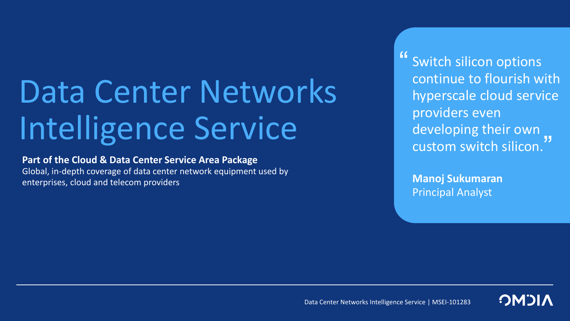# Data Center Networks Intelligence Service

### **Part of the Cloud & Data Center Service Area Package**

Global, in-depth coverage of data center network equipment used by enterprises, cloud and telecom providers

Switch silicon options continue to flourish with hyperscale cloud service providers even developing their own custom switch silicon. "<br>"<br>" -<br>"

**Manoj Sukumaran** Principal Analyst

Data Center Networks Intelligence Service | MSEI-101283

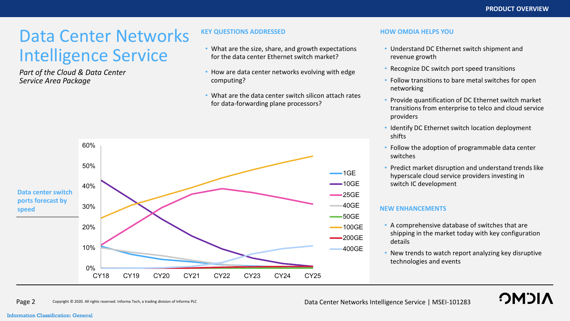**OMOI** 

## Data Center Networks Intelligence Service

*Part of the Cloud & Data Center Service Area Package*

#### **KEY QUESTIONS ADDRESSED HOW OMDIA HELPS YOU**

- What are the size, share, and growth expectations for the data center Ethernet switch market?
- How are data center networks evolving with edge computing?
- What are the data center switch silicon attach rates for data-forwarding plane processors?



- Understand DC Ethernet switch shipment and revenue growth
- Recognize DC switch port speed transitions
- Follow transitions to bare metal switches for open networking
- Provide quantification of DC Ethernet switch market transitions from enterprise to telco and cloud service providers
- Identify DC Ethernet switch location deployment shifts
- Follow the adoption of programmable data center switches
- Predict market disruption and understand trends like hyperscale cloud service providers investing in switch IC development

- A comprehensive database of switches that are shipping in the market today with key configuration details
- New trends to watch report analyzing key disruptive technologies and events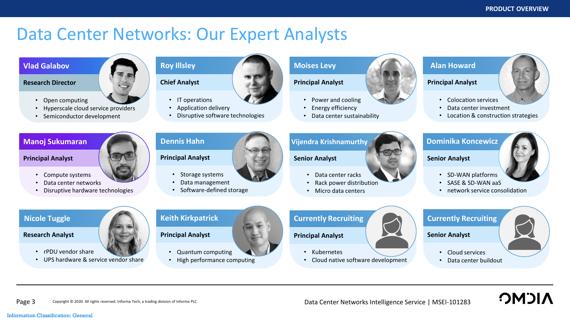### Data Center Networks: Our Expert Analysts



• UPS hardware & service vendor share

Copyright © 2020. All rights reserved. Informa Tech, a trading division of Informa PLC Page 3 Copyright © 2020. All rights reserved. Informa Tech, a trading division of Informa PLC **Data Center Networks Intelligence Service** | MSEI-101283

• Data center buildout

**NICMC**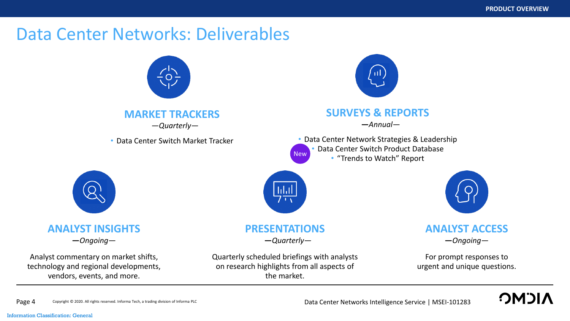### Data Center Networks: Deliverables

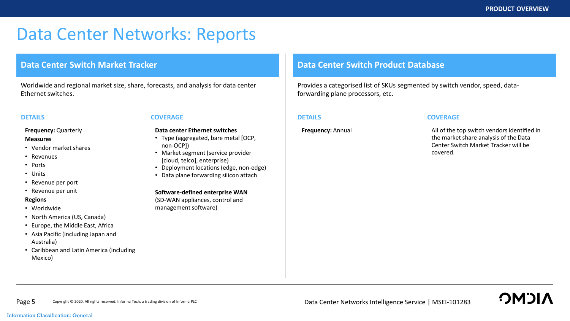## Data Center Networks: Reports

### **Data Center Switch Market Tracker**

Worldwide and regional market size, share, forecasts, and analysis for data center Ethernet switches.

#### **Frequency:** Quarterly

#### **Measures**

- Vendor market shares
- Revenues
- Ports
- Units
- Revenue per port
- Revenue per unit

#### **Regions**

- Worldwide
- North America (US, Canada)
- Europe, the Middle East, Africa
- Asia Pacific (including Japan and Australia)
- Caribbean and Latin America (including Mexico)

#### **DETAILS COVERAGE DETAILS**

#### **Data center Ethernet switches**

- Type (aggregated, bare metal [OCP, non-OCP])
- Market segment (service provider [cloud, telco], enterprise)
- Deployment locations (edge, non-edge)
- Data plane forwarding silicon attach

#### **Software-defined enterprise WAN**

(SD-WAN appliances, control and management software)

### **Data Center Switch Product Database**

Provides a categorised list of SKUs segmented by switch vendor, speed, dataforwarding plane processors, etc.

#### **COVERAGE**

**Frequency:** Annual **All of the top switch vendors identified in** the market share analysis of the Data Center Switch Market Tracker will be covered.

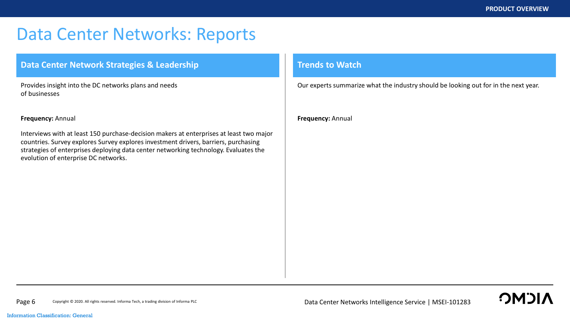## Data Center Networks: Reports

### **Data Center Network Strategies & Leadership Trends to Watch**

Provides insight into the DC networks plans and needs of businesses

#### **Frequency:** Annual

Interviews with at least 150 purchase-decision makers at enterprises at least two major countries. Survey explores Survey explores investment drivers, barriers, purchasing strategies of enterprises deploying data center networking technology. Evaluates the evolution of enterprise DC networks.

Our experts summarize what the industry should be looking out for in the next year.

**Frequency:** Annual

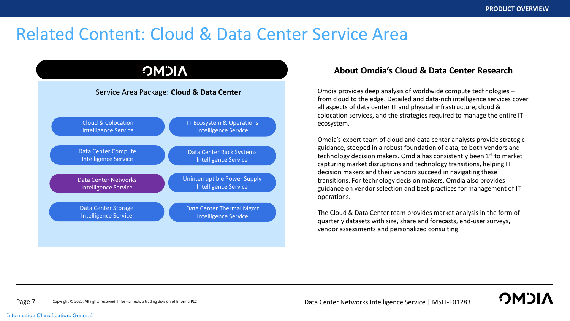**OMOL** 

## Related Content: Cloud & Data Center Service Area



### **About Omdia's Cloud & Data Center Research**

Omdia provides deep analysis of worldwide compute technologies – from cloud to the edge. Detailed and data-rich intelligence services cover all aspects of data center IT and physical infrastructure, cloud & colocation services, and the strategies required to manage the entire IT ecosystem.

Omdia's expert team of cloud and data center analysts provide strategic guidance, steeped in a robust foundation of data, to both vendors and technology decision makers. Omdia has consistently been 1st to market capturing market disruptions and technology transitions, helping IT decision makers and their vendors succeed in navigating these transitions. For technology decision makers, Omdia also provides guidance on vendor selection and best practices for management of IT operations.

The Cloud & Data Center team provides market analysis in the form of quarterly datasets with size, share and forecasts, end-user surveys, vendor assessments and personalized consulting.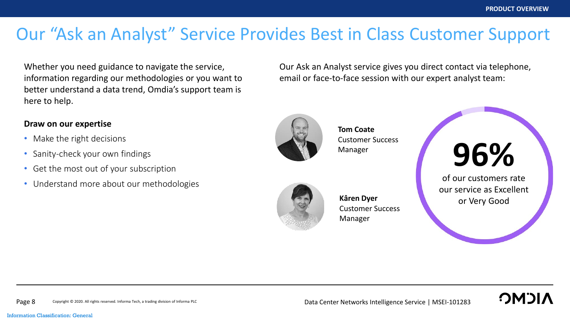## Our "Ask an Analyst" Service Provides Best in Class Customer Support

Whether you need guidance to navigate the service, information regarding our methodologies or you want to better understand a data trend, Omdia's support team is here to help.

### **Draw on our expertise**

- Make the right decisions
- Sanity-check your own findings
- Get the most out of your subscription
- Understand more about our methodologies

Our Ask an Analyst service gives you direct contact via telephone, email or face-to-face session with our expert analyst team:



**Tom Coate** Customer Success Manager



**Kâren Dyer** Customer Success Manager



of our customers rate our service as Excellent or Very Good

**OMOL**